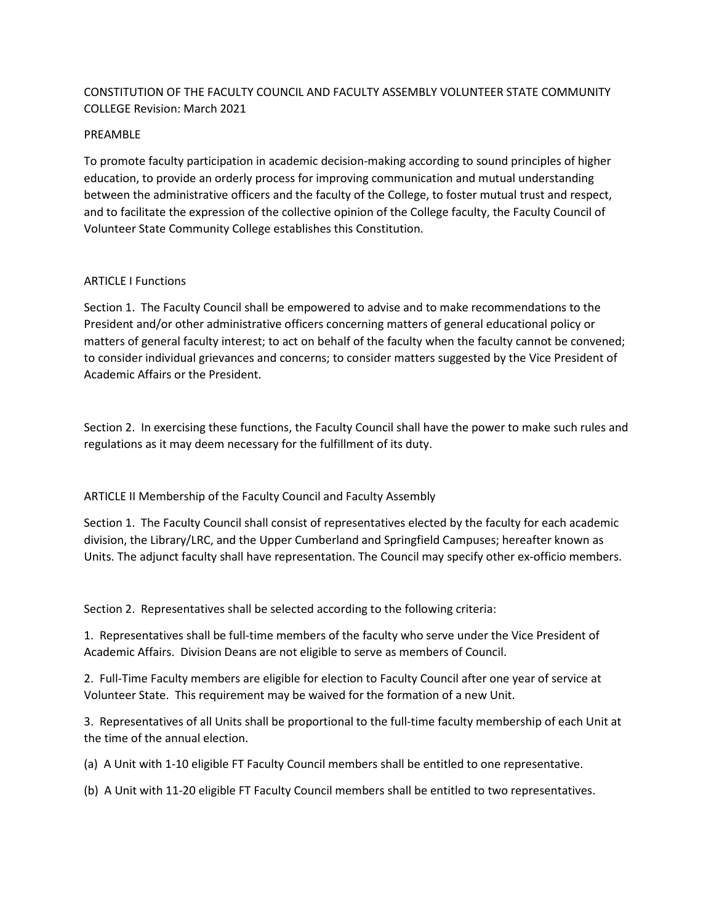# CONSTITUTION OF THE FACULTY COUNCIL AND FACULTY ASSEMBLY VOLUNTEER STATE COMMUNITY COLLEGE Revision: March 2021

#### PREAMBLE

To promote faculty participation in academic decision-making according to sound principles of higher education, to provide an orderly process for improving communication and mutual understanding between the administrative officers and the faculty of the College, to foster mutual trust and respect, and to facilitate the expression of the collective opinion of the College faculty, the Faculty Council of Volunteer State Community College establishes this Constitution.

#### ARTICLE I Functions

Section 1. The Faculty Council shall be empowered to advise and to make recommendations to the President and/or other administrative officers concerning matters of general educational policy or matters of general faculty interest; to act on behalf of the faculty when the faculty cannot be convened; to consider individual grievances and concerns; to consider matters suggested by the Vice President of Academic Affairs or the President.

Section 2. In exercising these functions, the Faculty Council shall have the power to make such rules and regulations as it may deem necessary for the fulfillment of its duty.

## ARTICLE II Membership of the Faculty Council and Faculty Assembly

Section 1. The Faculty Council shall consist of representatives elected by the faculty for each academic division, the Library/LRC, and the Upper Cumberland and Springfield Campuses; hereafter known as Units. The adjunct faculty shall have representation. The Council may specify other ex-officio members.

Section 2. Representatives shall be selected according to the following criteria:

1. Representatives shall be full-time members of the faculty who serve under the Vice President of Academic Affairs. Division Deans are not eligible to serve as members of Council.

2. Full-Time Faculty members are eligible for election to Faculty Council after one year of service at Volunteer State. This requirement may be waived for the formation of a new Unit.

3. Representatives of all Units shall be proportional to the full-time faculty membership of each Unit at the time of the annual election.

(a) A Unit with 1-10 eligible FT Faculty Council members shall be entitled to one representative.

(b) A Unit with 11-20 eligible FT Faculty Council members shall be entitled to two representatives.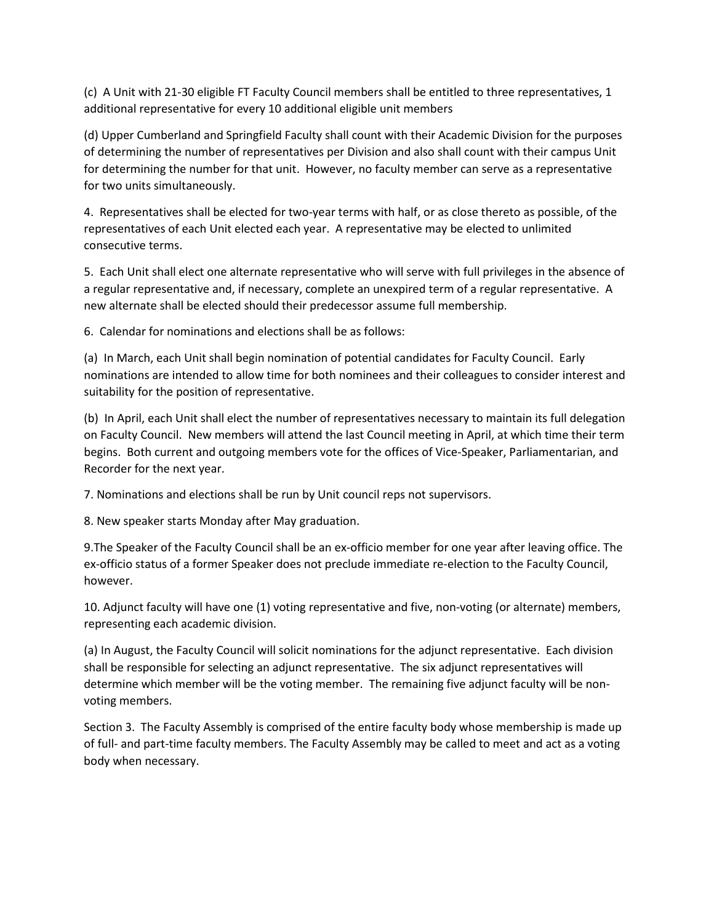(c) A Unit with 21-30 eligible FT Faculty Council members shall be entitled to three representatives, 1 additional representative for every 10 additional eligible unit members

(d) Upper Cumberland and Springfield Faculty shall count with their Academic Division for the purposes of determining the number of representatives per Division and also shall count with their campus Unit for determining the number for that unit. However, no faculty member can serve as a representative for two units simultaneously.

4. Representatives shall be elected for two-year terms with half, or as close thereto as possible, of the representatives of each Unit elected each year. A representative may be elected to unlimited consecutive terms.

5. Each Unit shall elect one alternate representative who will serve with full privileges in the absence of a regular representative and, if necessary, complete an unexpired term of a regular representative. A new alternate shall be elected should their predecessor assume full membership.

6. Calendar for nominations and elections shall be as follows:

(a) In March, each Unit shall begin nomination of potential candidates for Faculty Council. Early nominations are intended to allow time for both nominees and their colleagues to consider interest and suitability for the position of representative.

(b) In April, each Unit shall elect the number of representatives necessary to maintain its full delegation on Faculty Council. New members will attend the last Council meeting in April, at which time their term begins. Both current and outgoing members vote for the offices of Vice-Speaker, Parliamentarian, and Recorder for the next year.

7. Nominations and elections shall be run by Unit council reps not supervisors.

8. New speaker starts Monday after May graduation.

9.The Speaker of the Faculty Council shall be an ex-officio member for one year after leaving office. The ex-officio status of a former Speaker does not preclude immediate re-election to the Faculty Council, however.

10. Adjunct faculty will have one (1) voting representative and five, non-voting (or alternate) members, representing each academic division.

(a) In August, the Faculty Council will solicit nominations for the adjunct representative. Each division shall be responsible for selecting an adjunct representative. The six adjunct representatives will determine which member will be the voting member. The remaining five adjunct faculty will be nonvoting members.

Section 3. The Faculty Assembly is comprised of the entire faculty body whose membership is made up of full- and part-time faculty members. The Faculty Assembly may be called to meet and act as a voting body when necessary.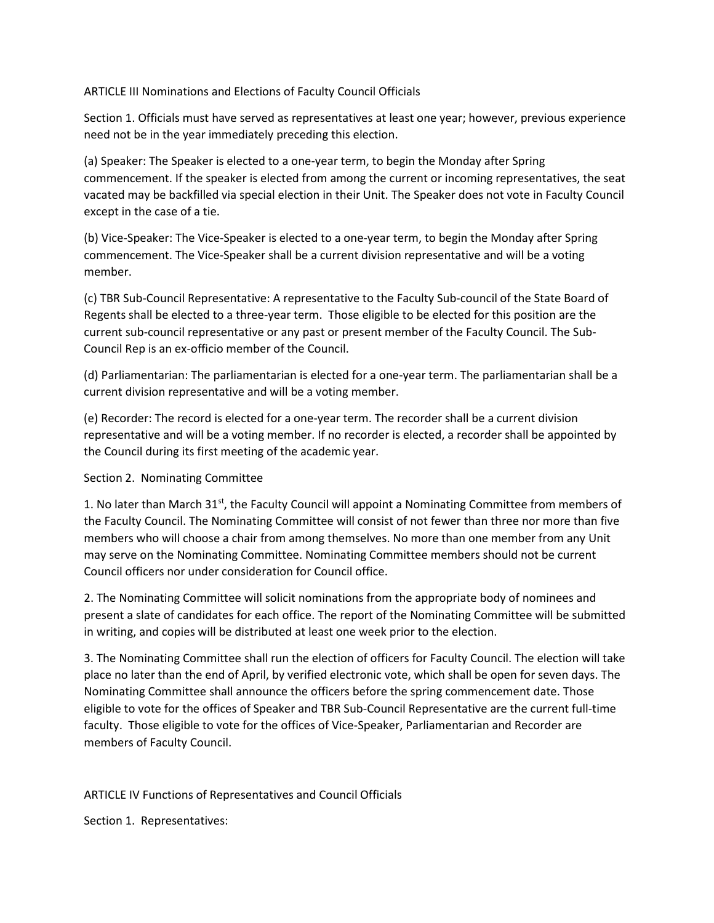ARTICLE III Nominations and Elections of Faculty Council Officials

Section 1. Officials must have served as representatives at least one year; however, previous experience need not be in the year immediately preceding this election.

(a) Speaker: The Speaker is elected to a one-year term, to begin the Monday after Spring commencement. If the speaker is elected from among the current or incoming representatives, the seat vacated may be backfilled via special election in their Unit. The Speaker does not vote in Faculty Council except in the case of a tie.

(b) Vice-Speaker: The Vice-Speaker is elected to a one-year term, to begin the Monday after Spring commencement. The Vice-Speaker shall be a current division representative and will be a voting member.

(c) TBR Sub-Council Representative: A representative to the Faculty Sub-council of the State Board of Regents shall be elected to a three-year term. Those eligible to be elected for this position are the current sub-council representative or any past or present member of the Faculty Council. The Sub-Council Rep is an ex-officio member of the Council.

(d) Parliamentarian: The parliamentarian is elected for a one-year term. The parliamentarian shall be a current division representative and will be a voting member.

(e) Recorder: The record is elected for a one-year term. The recorder shall be a current division representative and will be a voting member. If no recorder is elected, a recorder shall be appointed by the Council during its first meeting of the academic year.

## Section 2. Nominating Committee

1. No later than March  $31<sup>st</sup>$ , the Faculty Council will appoint a Nominating Committee from members of the Faculty Council. The Nominating Committee will consist of not fewer than three nor more than five members who will choose a chair from among themselves. No more than one member from any Unit may serve on the Nominating Committee. Nominating Committee members should not be current Council officers nor under consideration for Council office.

2. The Nominating Committee will solicit nominations from the appropriate body of nominees and present a slate of candidates for each office. The report of the Nominating Committee will be submitted in writing, and copies will be distributed at least one week prior to the election.

3. The Nominating Committee shall run the election of officers for Faculty Council. The election will take place no later than the end of April, by verified electronic vote, which shall be open for seven days. The Nominating Committee shall announce the officers before the spring commencement date. Those eligible to vote for the offices of Speaker and TBR Sub-Council Representative are the current full-time faculty. Those eligible to vote for the offices of Vice-Speaker, Parliamentarian and Recorder are members of Faculty Council.

## ARTICLE IV Functions of Representatives and Council Officials

Section 1. Representatives: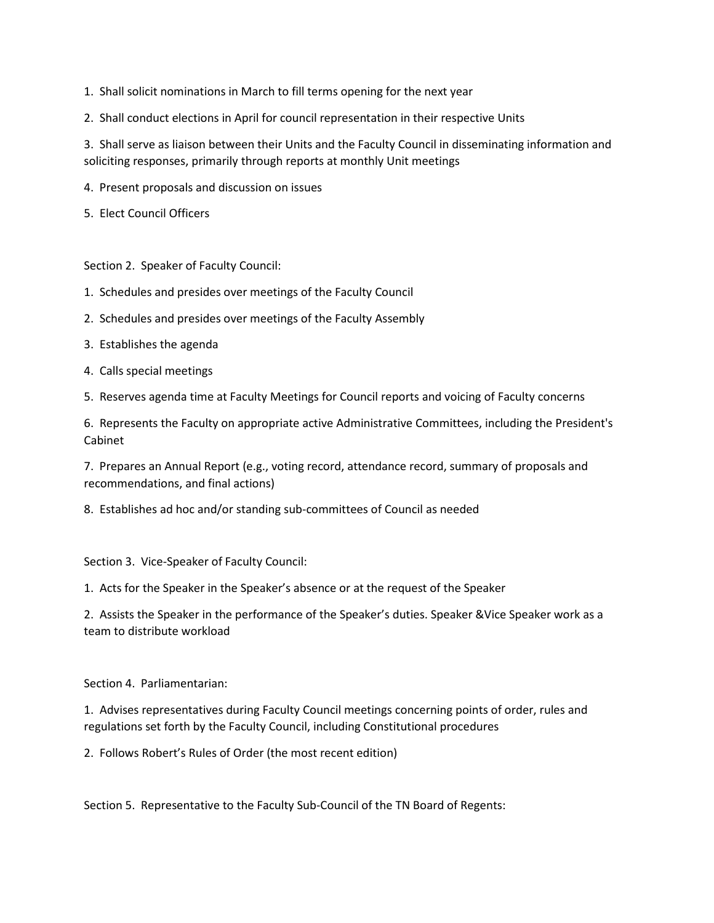- 1. Shall solicit nominations in March to fill terms opening for the next year
- 2. Shall conduct elections in April for council representation in their respective Units

3. Shall serve as liaison between their Units and the Faculty Council in disseminating information and soliciting responses, primarily through reports at monthly Unit meetings

- 4. Present proposals and discussion on issues
- 5. Elect Council Officers

Section 2. Speaker of Faculty Council:

- 1. Schedules and presides over meetings of the Faculty Council
- 2. Schedules and presides over meetings of the Faculty Assembly
- 3. Establishes the agenda
- 4. Calls special meetings
- 5. Reserves agenda time at Faculty Meetings for Council reports and voicing of Faculty concerns

6. Represents the Faculty on appropriate active Administrative Committees, including the President's Cabinet

7. Prepares an Annual Report (e.g., voting record, attendance record, summary of proposals and recommendations, and final actions)

8. Establishes ad hoc and/or standing sub-committees of Council as needed

Section 3. Vice-Speaker of Faculty Council:

1. Acts for the Speaker in the Speaker's absence or at the request of the Speaker

2. Assists the Speaker in the performance of the Speaker's duties. Speaker &Vice Speaker work as a team to distribute workload

Section 4. Parliamentarian:

1. Advises representatives during Faculty Council meetings concerning points of order, rules and regulations set forth by the Faculty Council, including Constitutional procedures

2. Follows Robert's Rules of Order (the most recent edition)

Section 5. Representative to the Faculty Sub-Council of the TN Board of Regents: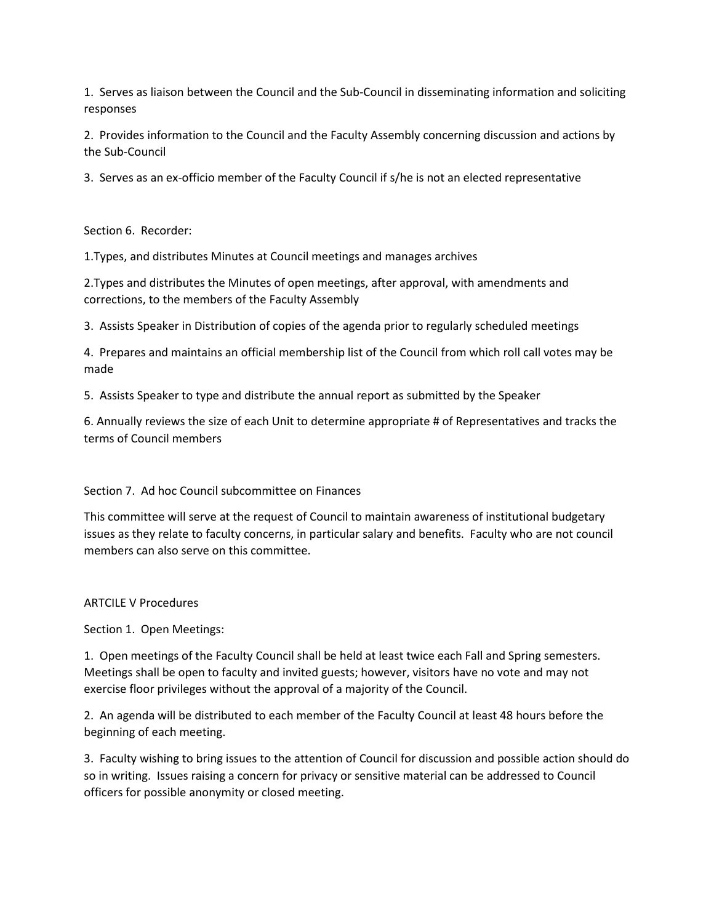1. Serves as liaison between the Council and the Sub-Council in disseminating information and soliciting responses

2. Provides information to the Council and the Faculty Assembly concerning discussion and actions by the Sub-Council

3. Serves as an ex-officio member of the Faculty Council if s/he is not an elected representative

Section 6. Recorder:

1.Types, and distributes Minutes at Council meetings and manages archives

2.Types and distributes the Minutes of open meetings, after approval, with amendments and corrections, to the members of the Faculty Assembly

3. Assists Speaker in Distribution of copies of the agenda prior to regularly scheduled meetings

4. Prepares and maintains an official membership list of the Council from which roll call votes may be made

5. Assists Speaker to type and distribute the annual report as submitted by the Speaker

6. Annually reviews the size of each Unit to determine appropriate # of Representatives and tracks the terms of Council members

#### Section 7. Ad hoc Council subcommittee on Finances

This committee will serve at the request of Council to maintain awareness of institutional budgetary issues as they relate to faculty concerns, in particular salary and benefits. Faculty who are not council members can also serve on this committee.

ARTCILE V Procedures

Section 1. Open Meetings:

1. Open meetings of the Faculty Council shall be held at least twice each Fall and Spring semesters. Meetings shall be open to faculty and invited guests; however, visitors have no vote and may not exercise floor privileges without the approval of a majority of the Council.

2. An agenda will be distributed to each member of the Faculty Council at least 48 hours before the beginning of each meeting.

3. Faculty wishing to bring issues to the attention of Council for discussion and possible action should do so in writing. Issues raising a concern for privacy or sensitive material can be addressed to Council officers for possible anonymity or closed meeting.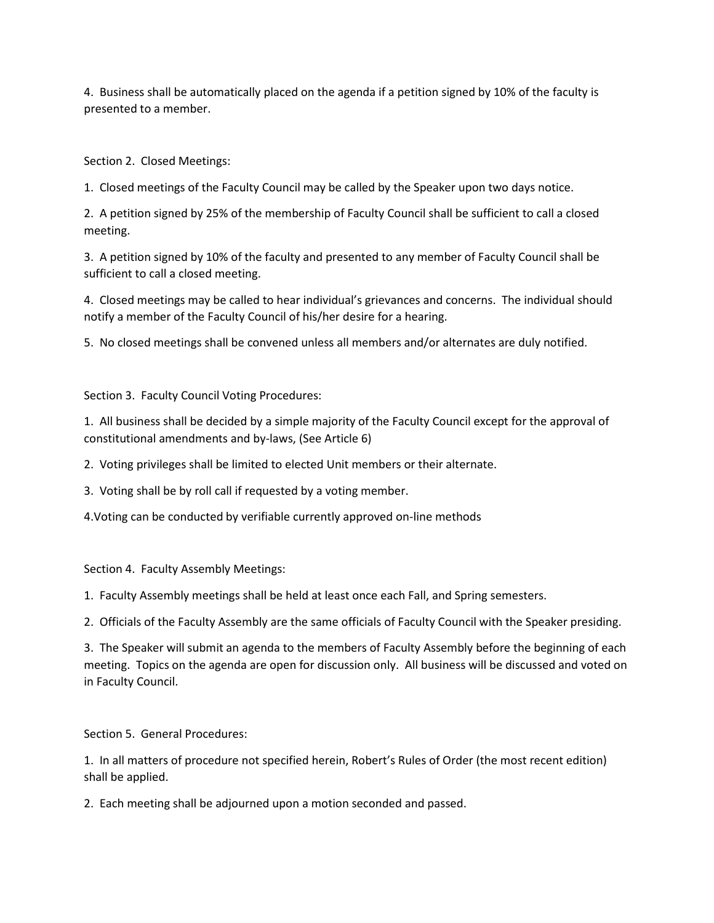4. Business shall be automatically placed on the agenda if a petition signed by 10% of the faculty is presented to a member.

Section 2. Closed Meetings:

1. Closed meetings of the Faculty Council may be called by the Speaker upon two days notice.

2. A petition signed by 25% of the membership of Faculty Council shall be sufficient to call a closed meeting.

3. A petition signed by 10% of the faculty and presented to any member of Faculty Council shall be sufficient to call a closed meeting.

4. Closed meetings may be called to hear individual's grievances and concerns. The individual should notify a member of the Faculty Council of his/her desire for a hearing.

5. No closed meetings shall be convened unless all members and/or alternates are duly notified.

Section 3. Faculty Council Voting Procedures:

1. All business shall be decided by a simple majority of the Faculty Council except for the approval of constitutional amendments and by-laws, (See Article 6)

2. Voting privileges shall be limited to elected Unit members or their alternate.

3. Voting shall be by roll call if requested by a voting member.

4.Voting can be conducted by verifiable currently approved on-line methods

Section 4. Faculty Assembly Meetings:

1. Faculty Assembly meetings shall be held at least once each Fall, and Spring semesters.

2. Officials of the Faculty Assembly are the same officials of Faculty Council with the Speaker presiding.

3. The Speaker will submit an agenda to the members of Faculty Assembly before the beginning of each meeting. Topics on the agenda are open for discussion only. All business will be discussed and voted on in Faculty Council.

Section 5. General Procedures:

1. In all matters of procedure not specified herein, Robert's Rules of Order (the most recent edition) shall be applied.

2. Each meeting shall be adjourned upon a motion seconded and passed.